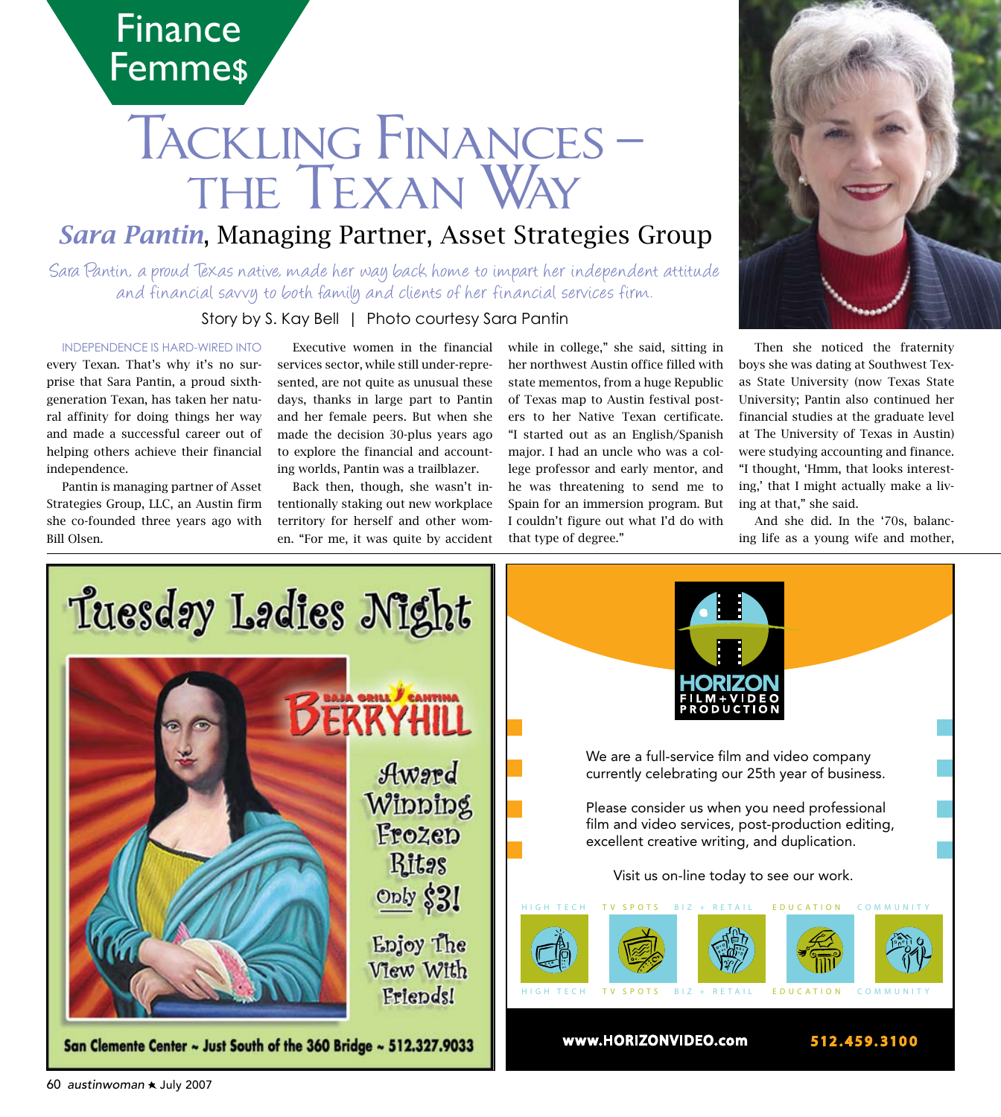

# TACKLING FINANCES-THE TEXAN WAY

## **Sara Pantin, Managing Partner, Asset Strategies Group**

Sara Pantin, a proud Texas native, made her way back home to impart her independent attitude and financial savvy to both family and clients of her financial services firm.

Story by S. Kay Bell | Photo courtesy Sara Pantin

#### **INDEPENDENCE IS HARD-WIRED INTO**

every Texan. That's why it's no surprise that Sara Pantin, a proud sixthgeneration Texan, has taken her natural affinity for doing things her way and made a successful career out of helping others achieve their financial independence.

Pantin is managing partner of Asset Strategies Group, LLC, an Austin firm she co-founded three years ago with Bill Olsen.

Executive women in the financial services sector, while still under-represented, are not quite as unusual these days, thanks in large part to Pantin and her female peers. But when she made the decision 30-plus years ago to explore the financial and accounting worlds, Pantin was a trailblazer.

Back then, though, she wasn't intentionally staking out new workplace territory for herself and other women. "For me, it was quite by accident

while in college," she said, sitting in her northwest Austin office filled with state mementos, from a huge Republic of Texas map to Austin festival posters to her Native Texan certificate. "I started out as an English/Spanish major. I had an uncle who was a college professor and early mentor, and he was threatening to send me to Spain for an immersion program. But I couldn't figure out what I'd do with that type of degree."



Then she noticed the fraternity boys she was dating at Southwest Texas State University (now Texas State University; Pantin also continued her financial studies at the graduate level at The University of Texas in Austin) were studying accounting and finance. "I thought, 'Hmm, that looks interesting,' that I might actually make a living at that," she said.

And she did. In the '70s, balancing life as a young wife and mother,